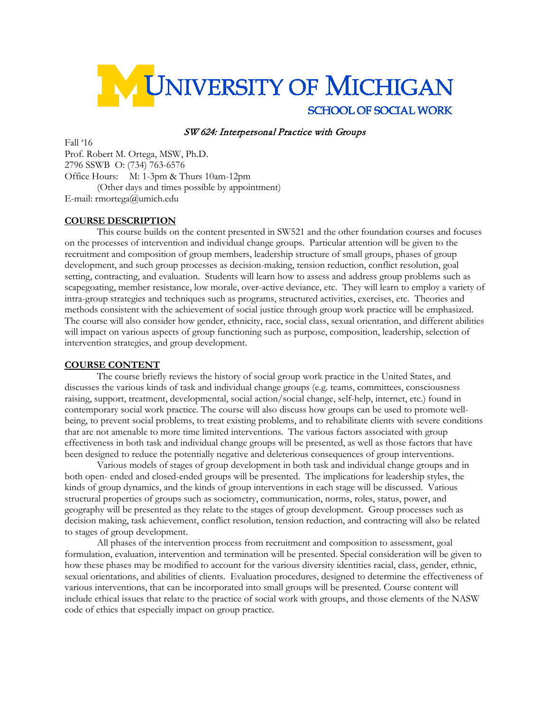

#### SW 624: Interpersonal Practice with Groups

Fall '16 Prof. Robert M. Ortega, MSW, Ph.D. 2796 SSWB O: (734) 763-6576 Office Hours: M: 1-3pm & Thurs 10am-12pm (Other days and times possible by appointment) E-mail: rmortega@umich.edu

#### **COURSE DESCRIPTION**

This course builds on the content presented in SW521 and the other foundation courses and focuses on the processes of intervention and individual change groups. Particular attention will be given to the recruitment and composition of group members, leadership structure of small groups, phases of group development, and such group processes as decision-making, tension reduction, conflict resolution, goal setting, contracting, and evaluation. Students will learn how to assess and address group problems such as scapegoating, member resistance, low morale, over-active deviance, etc. They will learn to employ a variety of intra-group strategies and techniques such as programs, structured activities, exercises, etc. Theories and methods consistent with the achievement of social justice through group work practice will be emphasized. The course will also consider how gender, ethnicity, race, social class, sexual orientation, and different abilities will impact on various aspects of group functioning such as purpose, composition, leadership, selection of intervention strategies, and group development.

#### **COURSE CONTENT**

The course briefly reviews the history of social group work practice in the United States, and discusses the various kinds of task and individual change groups (e.g. teams, committees, consciousness raising, support, treatment, developmental, social action/social change, self-help, internet, etc.) found in contemporary social work practice. The course will also discuss how groups can be used to promote wellbeing, to prevent social problems, to treat existing problems, and to rehabilitate clients with severe conditions that are not amenable to more time limited interventions. The various factors associated with group effectiveness in both task and individual change groups will be presented, as well as those factors that have been designed to reduce the potentially negative and deleterious consequences of group interventions.

Various models of stages of group development in both task and individual change groups and in both open- ended and closed-ended groups will be presented. The implications for leadership styles, the kinds of group dynamics, and the kinds of group interventions in each stage will be discussed. Various structural properties of groups such as sociometry, communication, norms, roles, status, power, and geography will be presented as they relate to the stages of group development. Group processes such as decision making, task achievement, conflict resolution, tension reduction, and contracting will also be related to stages of group development.

All phases of the intervention process from recruitment and composition to assessment, goal formulation, evaluation, intervention and termination will be presented. Special consideration will be given to how these phases may be modified to account for the various diversity identities racial, class, gender, ethnic, sexual orientations, and abilities of clients. Evaluation procedures, designed to determine the effectiveness of various interventions, that can be incorporated into small groups will be presented. Course content will include ethical issues that relate to the practice of social work with groups, and those elements of the NASW code of ethics that especially impact on group practice.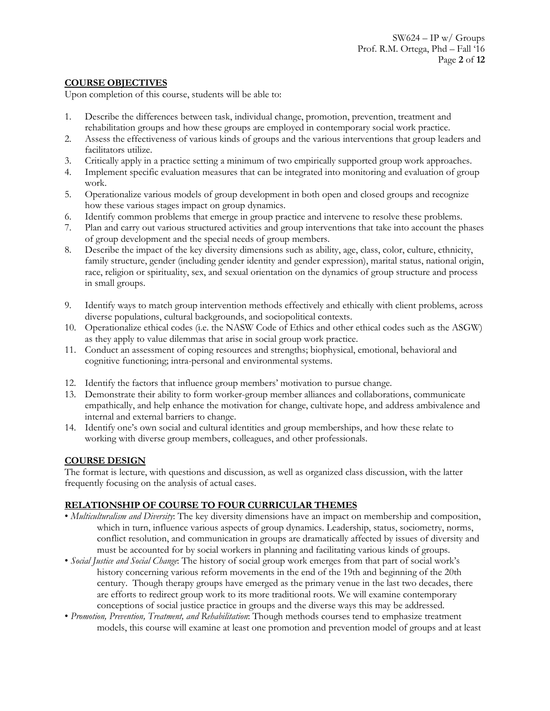## **COURSE OBJECTIVES**

Upon completion of this course, students will be able to:

- 1. Describe the differences between task, individual change, promotion, prevention, treatment and rehabilitation groups and how these groups are employed in contemporary social work practice.
- 2. Assess the effectiveness of various kinds of groups and the various interventions that group leaders and facilitators utilize.
- 3. Critically apply in a practice setting a minimum of two empirically supported group work approaches.
- 4. Implement specific evaluation measures that can be integrated into monitoring and evaluation of group work.
- 5. Operationalize various models of group development in both open and closed groups and recognize how these various stages impact on group dynamics.
- 6. Identify common problems that emerge in group practice and intervene to resolve these problems.
- 7. Plan and carry out various structured activities and group interventions that take into account the phases of group development and the special needs of group members.
- 8. Describe the impact of the key diversity dimensions such as ability, age, class, color, culture, ethnicity, family structure, gender (including gender identity and gender expression), marital status, national origin, race, religion or spirituality, sex, and sexual orientation on the dynamics of group structure and process in small groups.
- 9. Identify ways to match group intervention methods effectively and ethically with client problems, across diverse populations, cultural backgrounds, and sociopolitical contexts.
- 10. Operationalize ethical codes (i.e. the NASW Code of Ethics and other ethical codes such as the ASGW) as they apply to value dilemmas that arise in social group work practice.
- 11. Conduct an assessment of coping resources and strengths; biophysical, emotional, behavioral and cognitive functioning; intra-personal and environmental systems.
- 12. Identify the factors that influence group members' motivation to pursue change.
- 13. Demonstrate their ability to form worker-group member alliances and collaborations, communicate empathically, and help enhance the motivation for change, cultivate hope, and address ambivalence and internal and external barriers to change.
- 14. Identify one's own social and cultural identities and group memberships, and how these relate to working with diverse group members, colleagues, and other professionals.

## **COURSE DESIGN**

The format is lecture, with questions and discussion, as well as organized class discussion, with the latter frequently focusing on the analysis of actual cases.

## **RELATIONSHIP OF COURSE TO FOUR CURRICULAR THEMES**

- *Multiculturalism and Diversity*: The key diversity dimensions have an impact on membership and composition, which in turn, influence various aspects of group dynamics. Leadership, status, sociometry, norms, conflict resolution, and communication in groups are dramatically affected by issues of diversity and must be accounted for by social workers in planning and facilitating various kinds of groups.
- *Social Justice and Social Change*: The history of social group work emerges from that part of social work's history concerning various reform movements in the end of the 19th and beginning of the 20th century. Though therapy groups have emerged as the primary venue in the last two decades, there are efforts to redirect group work to its more traditional roots. We will examine contemporary conceptions of social justice practice in groups and the diverse ways this may be addressed.
- *Promotion, Prevention, Treatment, and Rehabilitation*: Though methods courses tend to emphasize treatment models, this course will examine at least one promotion and prevention model of groups and at least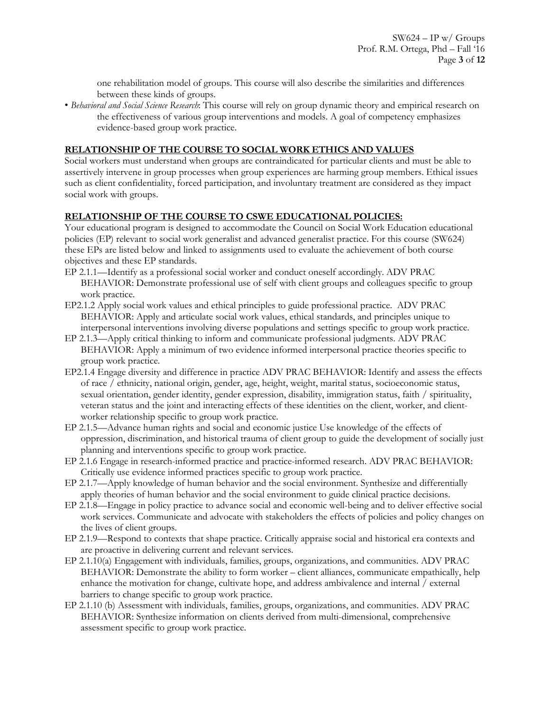one rehabilitation model of groups. This course will also describe the similarities and differences between these kinds of groups.

• *Behavioral and Social Science Research*: This course will rely on group dynamic theory and empirical research on the effectiveness of various group interventions and models. A goal of competency emphasizes evidence-based group work practice.

## **RELATIONSHIP OF THE COURSE TO SOCIAL WORK ETHICS AND VALUES**

Social workers must understand when groups are contraindicated for particular clients and must be able to assertively intervene in group processes when group experiences are harming group members. Ethical issues such as client confidentiality, forced participation, and involuntary treatment are considered as they impact social work with groups.

#### **RELATIONSHIP OF THE COURSE TO CSWE EDUCATIONAL POLICIES:**

Your educational program is designed to accommodate the Council on Social Work Education educational policies (EP) relevant to social work generalist and advanced generalist practice. For this course (SW624) these EPs are listed below and linked to assignments used to evaluate the achievement of both course objectives and these EP standards.

- EP 2.1.1—Identify as a professional social worker and conduct oneself accordingly. ADV PRAC BEHAVIOR: Demonstrate professional use of self with client groups and colleagues specific to group work practice.
- EP2.1.2 Apply social work values and ethical principles to guide professional practice. ADV PRAC BEHAVIOR: Apply and articulate social work values, ethical standards, and principles unique to interpersonal interventions involving diverse populations and settings specific to group work practice.
- EP 2.1.3—Apply critical thinking to inform and communicate professional judgments. ADV PRAC BEHAVIOR: Apply a minimum of two evidence informed interpersonal practice theories specific to group work practice.
- EP2.1.4 Engage diversity and difference in practice ADV PRAC BEHAVIOR: Identify and assess the effects of race / ethnicity, national origin, gender, age, height, weight, marital status, socioeconomic status, sexual orientation, gender identity, gender expression, disability, immigration status, faith / spirituality, veteran status and the joint and interacting effects of these identities on the client, worker, and clientworker relationship specific to group work practice.
- EP 2.1.5—Advance human rights and social and economic justice Use knowledge of the effects of oppression, discrimination, and historical trauma of client group to guide the development of socially just planning and interventions specific to group work practice.
- EP 2.1.6 Engage in research-informed practice and practice-informed research. ADV PRAC BEHAVIOR: Critically use evidence informed practices specific to group work practice.
- EP 2.1.7—Apply knowledge of human behavior and the social environment. Synthesize and differentially apply theories of human behavior and the social environment to guide clinical practice decisions.
- EP 2.1.8—Engage in policy practice to advance social and economic well-being and to deliver effective social work services. Communicate and advocate with stakeholders the effects of policies and policy changes on the lives of client groups.
- EP 2.1.9—Respond to contexts that shape practice. Critically appraise social and historical era contexts and are proactive in delivering current and relevant services.
- EP 2.1.10(a) Engagement with individuals, families, groups, organizations, and communities. ADV PRAC BEHAVIOR: Demonstrate the ability to form worker – client alliances, communicate empathically, help enhance the motivation for change, cultivate hope, and address ambivalence and internal / external barriers to change specific to group work practice.
- EP 2.1.10 (b) Assessment with individuals, families, groups, organizations, and communities. ADV PRAC BEHAVIOR: Synthesize information on clients derived from multi-dimensional, comprehensive assessment specific to group work practice.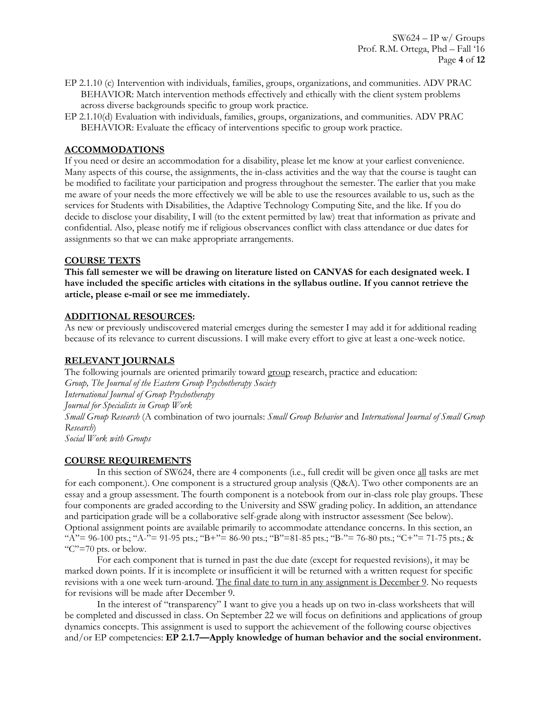- EP 2.1.10 (c) Intervention with individuals, families, groups, organizations, and communities. ADV PRAC BEHAVIOR: Match intervention methods effectively and ethically with the client system problems across diverse backgrounds specific to group work practice.
- EP 2.1.10(d) Evaluation with individuals, families, groups, organizations, and communities. ADV PRAC BEHAVIOR: Evaluate the efficacy of interventions specific to group work practice.

## **ACCOMMODATIONS**

If you need or desire an accommodation for a disability, please let me know at your earliest convenience. Many aspects of this course, the assignments, the in-class activities and the way that the course is taught can be modified to facilitate your participation and progress throughout the semester. The earlier that you make me aware of your needs the more effectively we will be able to use the resources available to us, such as the services for Students with Disabilities, the Adaptive Technology Computing Site, and the like. If you do decide to disclose your disability, I will (to the extent permitted by law) treat that information as private and confidential. Also, please notify me if religious observances conflict with class attendance or due dates for assignments so that we can make appropriate arrangements.

#### **COURSE TEXTS**

**This fall semester we will be drawing on literature listed on CANVAS for each designated week. I have included the specific articles with citations in the syllabus outline. If you cannot retrieve the article, please e-mail or see me immediately.**

#### **ADDITIONAL RESOURCES:**

As new or previously undiscovered material emerges during the semester I may add it for additional reading because of its relevance to current discussions. I will make every effort to give at least a one-week notice.

#### **RELEVANT JOURNALS**

The following journals are oriented primarily toward group research, practice and education: *Group, The Journal of the Eastern Group Psychotherapy Society International Journal of Group Psychotherapy Journal for Specialists in Group Work Small Group Research* (A combination of two journals: *Small Group Behavior* and *International Journal of Small Group Research*) *Social Work with Groups*

#### **COURSE REQUIREMENTS**

In this section of SW624, there are 4 components (i.e., full credit will be given once all tasks are met for each component.). One component is a structured group analysis (Q&A). Two other components are an essay and a group assessment. The fourth component is a notebook from our in-class role play groups. These four components are graded according to the University and SSW grading policy. In addition, an attendance and participation grade will be a collaborative self-grade along with instructor assessment (See below). Optional assignment points are available primarily to accommodate attendance concerns. In this section, an "A"= 96-100 pts.; "A-"= 91-95 pts.; "B+"= 86-90 pts.; "B"=81-85 pts.; "B-"= 76-80 pts.; "C+"= 71-75 pts.; & " $C$ "=70 pts. or below.

For each component that is turned in past the due date (except for requested revisions), it may be marked down points. If it is incomplete or insufficient it will be returned with a written request for specific revisions with a one week turn-around. The final date to turn in any assignment is December 9. No requests for revisions will be made after December 9.

In the interest of "transparency" I want to give you a heads up on two in-class worksheets that will be completed and discussed in class. On September 22 we will focus on definitions and applications of group dynamics concepts. This assignment is used to support the achievement of the following course objectives and/or EP competencies: **EP 2.1.7—Apply knowledge of human behavior and the social environment.**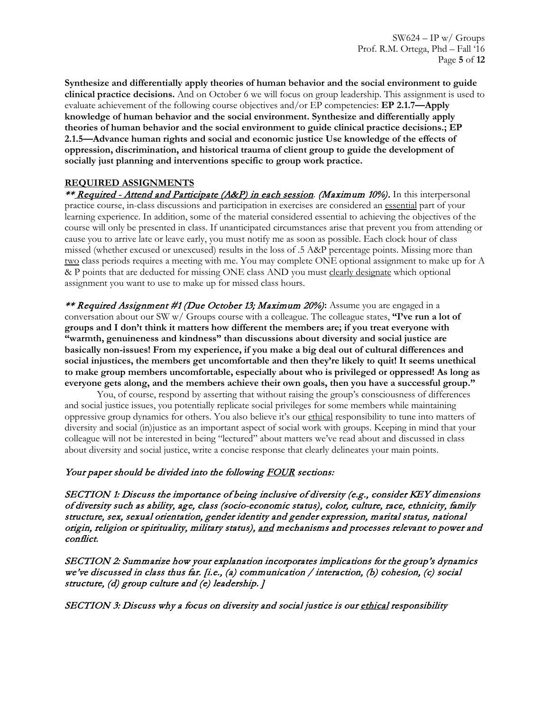**Synthesize and differentially apply theories of human behavior and the social environment to guide clinical practice decisions.** And on October 6 we will focus on group leadership. This assignment is used to evaluate achievement of the following course objectives and/or EP competencies: **EP 2.1.7—Apply knowledge of human behavior and the social environment. Synthesize and differentially apply theories of human behavior and the social environment to guide clinical practice decisions.; EP 2.1.5—Advance human rights and social and economic justice Use knowledge of the effects of oppression, discrimination, and historical trauma of client group to guide the development of socially just planning and interventions specific to group work practice.**

## **REQUIRED ASSIGNMENTS**

\*\* Required - Attend and Participate (A&P) in each session. (Maximum 10%). In this interpersonal practice course, in-class discussions and participation in exercises are considered an essential part of your learning experience. In addition, some of the material considered essential to achieving the objectives of the course will only be presented in class. If unanticipated circumstances arise that prevent you from attending or cause you to arrive late or leave early, you must notify me as soon as possible. Each clock hour of class missed (whether excused or unexcused) results in the loss of .5 A&P percentage points. Missing more than two class periods requires a meeting with me. You may complete ONE optional assignment to make up for A & P points that are deducted for missing ONE class AND you must clearly designate which optional assignment you want to use to make up for missed class hours.

\*\* Required Assignment #1 (Due October 13; Maximum 20%)**:** Assume you are engaged in a conversation about our SW w/ Groups course with a colleague. The colleague states, **"I've run a lot of groups and I don't think it matters how different the members are; if you treat everyone with "warmth, genuineness and kindness" than discussions about diversity and social justice are basically non-issues! From my experience, if you make a big deal out of cultural differences and social injustices, the members get uncomfortable and then they're likely to quit! It seems unethical to make group members uncomfortable, especially about who is privileged or oppressed! As long as everyone gets along, and the members achieve their own goals, then you have a successful group."** 

You, of course, respond by asserting that without raising the group's consciousness of differences and social justice issues, you potentially replicate social privileges for some members while maintaining oppressive group dynamics for others. You also believe it's our ethical responsibility to tune into matters of diversity and social (in)justice as an important aspect of social work with groups. Keeping in mind that your colleague will not be interested in being "lectured" about matters we've read about and discussed in class about diversity and social justice, write a concise response that clearly delineates your main points.

# Your paper should be divided into the following FOUR sections:

SECTION 1: Discuss the importance of being inclusive of diversity (e.g., consider KEY dimensions of diversity such as ability, age, class (socio-economic status), color, culture, race, ethnicity, family structure, sex, sexual orientation, gender identity and gender expression, marital status, national origin, religion or spirituality, military status), and mechanisms and processes relevant to power and conflict.

SECTION 2: Summarize how your explanation incorporates implications for the group's dynamics we've discussed in class thus far. [i.e., (a) communication / interaction, (b) cohesion, (c) social structure, (d) group culture and (e) leadership. ]

SECTION 3: Discuss why a focus on diversity and social justice is our ethical responsibility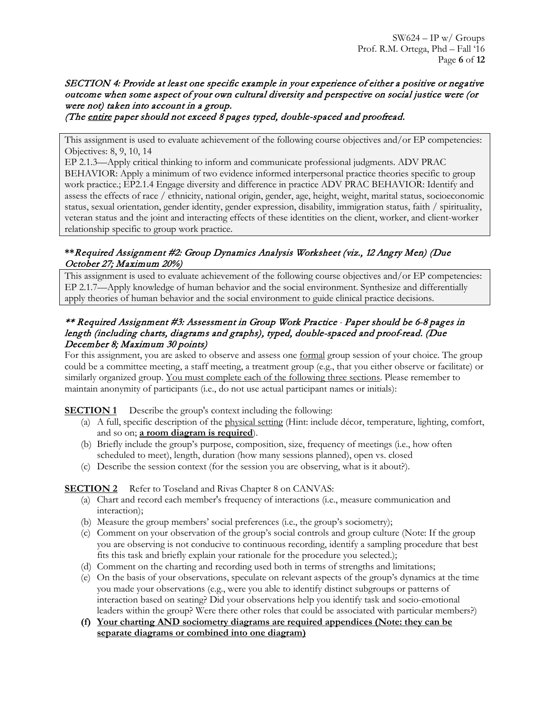# SECTION 4: Provide at least one specific example in your experience of either a positive or negative outcome when some aspect of your own cultural diversity and perspective on social justice were (or were not) taken into account in a group.

(The entire paper should not exceed 8 pages typed, double-spaced and proofread.

This assignment is used to evaluate achievement of the following course objectives and/or EP competencies: Objectives: 8, 9, 10, 14

EP 2.1.3—Apply critical thinking to inform and communicate professional judgments. ADV PRAC BEHAVIOR: Apply a minimum of two evidence informed interpersonal practice theories specific to group work practice.; EP2.1.4 Engage diversity and difference in practice ADV PRAC BEHAVIOR: Identify and assess the effects of race / ethnicity, national origin, gender, age, height, weight, marital status, socioeconomic status, sexual orientation, gender identity, gender expression, disability, immigration status, faith / spirituality, veteran status and the joint and interacting effects of these identities on the client, worker, and client-worker relationship specific to group work practice.

## **\*\***Required Assignment #2: Group Dynamics Analysis Worksheet (viz., 12 Angry Men) (Due October 27; Maximum 20%)

This assignment is used to evaluate achievement of the following course objectives and/or EP competencies: EP 2.1.7—Apply knowledge of human behavior and the social environment. Synthesize and differentially apply theories of human behavior and the social environment to guide clinical practice decisions.

## \*\* Required Assignment #3: Assessment in Group Work Practice *-* Paper should be 6-8 pages in length (including charts, diagrams and graphs), typed, double-spaced and proof-read. (Due December 8; Maximum 30 points)

For this assignment, you are asked to observe and assess one <u>formal</u> group session of your choice. The group could be a committee meeting, a staff meeting, a treatment group (e.g., that you either observe or facilitate) or similarly organized group. You must complete each of the following three sections. Please remember to maintain anonymity of participants (i.e., do not use actual participant names or initials):

**SECTION 1** Describe the group's context including the following:

- (a) A full, specific description of the physical setting (Hint: include décor, temperature, lighting, comfort, and so on; **a room diagram is required**).
- (b) Briefly include the group's purpose, composition, size, frequency of meetings (i.e., how often scheduled to meet), length, duration (how many sessions planned), open vs. closed
- (c) Describe the session context (for the session you are observing, what is it about?).

# **SECTION 2** Refer to Toseland and Rivas Chapter 8 on CANVAS:

- (a) Chart and record each member's frequency of interactions (i.e., measure communication and interaction);
- (b) Measure the group members' social preferences (i.e., the group's sociometry);
- (c) Comment on your observation of the group's social controls and group culture (Note: If the group you are observing is not conducive to continuous recording, identify a sampling procedure that best fits this task and briefly explain your rationale for the procedure you selected.);
- (d) Comment on the charting and recording used both in terms of strengths and limitations;
- (e) On the basis of your observations, speculate on relevant aspects of the group's dynamics at the time you made your observations (e.g., were you able to identify distinct subgroups or patterns of interaction based on seating? Did your observations help you identify task and socio-emotional leaders within the group? Were there other roles that could be associated with particular members?)
- **(f) Your charting AND sociometry diagrams are required appendices (Note: they can be separate diagrams or combined into one diagram)**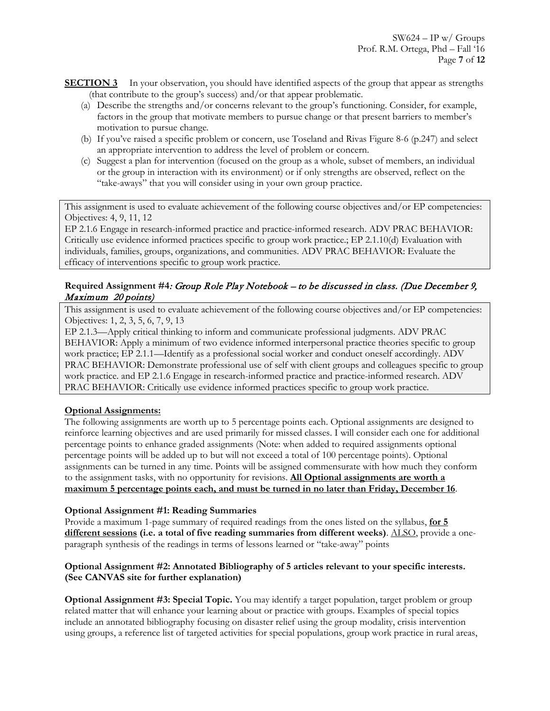**SECTION 3** In your observation, you should have identified aspects of the group that appear as strengths (that contribute to the group's success) and/or that appear problematic.

- (a) Describe the strengths and/or concerns relevant to the group's functioning. Consider, for example, factors in the group that motivate members to pursue change or that present barriers to member's motivation to pursue change.
- (b) If you've raised a specific problem or concern, use Toseland and Rivas Figure 8-6 (p.247) and select an appropriate intervention to address the level of problem or concern.
- (c) Suggest a plan for intervention (focused on the group as a whole, subset of members, an individual or the group in interaction with its environment) or if only strengths are observed, reflect on the "take-aways" that you will consider using in your own group practice.

This assignment is used to evaluate achievement of the following course objectives and/or EP competencies: Objectives: 4, 9, 11, 12

EP 2.1.6 Engage in research-informed practice and practice-informed research. ADV PRAC BEHAVIOR: Critically use evidence informed practices specific to group work practice.; EP 2.1.10(d) Evaluation with individuals, families, groups, organizations, and communities. ADV PRAC BEHAVIOR: Evaluate the efficacy of interventions specific to group work practice.

## **Required Assignment #4**: Group Role Play Notebook – to be discussed in class. (Due December 9, Maximum 20 points)

This assignment is used to evaluate achievement of the following course objectives and/or EP competencies: Objectives: 1, 2, 3, 5, 6, 7, 9, 13

EP 2.1.3—Apply critical thinking to inform and communicate professional judgments. ADV PRAC BEHAVIOR: Apply a minimum of two evidence informed interpersonal practice theories specific to group work practice; EP 2.1.1—Identify as a professional social worker and conduct oneself accordingly. ADV PRAC BEHAVIOR: Demonstrate professional use of self with client groups and colleagues specific to group work practice. and EP 2.1.6 Engage in research-informed practice and practice-informed research. ADV PRAC BEHAVIOR: Critically use evidence informed practices specific to group work practice.

## **Optional Assignments:**

The following assignments are worth up to 5 percentage points each. Optional assignments are designed to reinforce learning objectives and are used primarily for missed classes. I will consider each one for additional percentage points to enhance graded assignments (Note: when added to required assignments optional percentage points will be added up to but will not exceed a total of 100 percentage points). Optional assignments can be turned in any time. Points will be assigned commensurate with how much they conform to the assignment tasks, with no opportunity for revisions. **All Optional assignments are worth a maximum 5 percentage points each, and must be turned in no later than Friday, December 16**.

## **Optional Assignment #1: Reading Summaries**

Provide a maximum 1-page summary of required readings from the ones listed on the syllabus, **for 5 different sessions (i.e. a total of five reading summaries from different weeks)**. ALSO, provide a oneparagraph synthesis of the readings in terms of lessons learned or "take-away" points

#### **Optional Assignment #2: Annotated Bibliography of 5 articles relevant to your specific interests. (See CANVAS site for further explanation)**

**Optional Assignment #3: Special Topic.** You may identify a target population, target problem or group related matter that will enhance your learning about or practice with groups. Examples of special topics include an annotated bibliography focusing on disaster relief using the group modality, crisis intervention using groups, a reference list of targeted activities for special populations, group work practice in rural areas,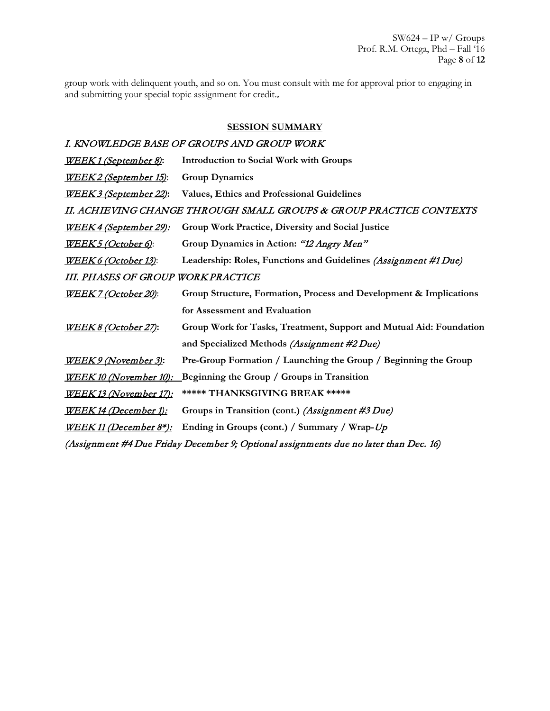SW624 – IP w/ Groups Prof. R.M. Ortega, Phd – Fall '16 Page **8** of **12**

group work with delinquent youth, and so on. You must consult with me for approval prior to engaging in and submitting your special topic assignment for credit..

#### **SESSION SUMMARY**

# I. KNOWLEDGE BASE OF GROUPS AND GROUP WORK

| <u>WEEK1 (September 8):</u>                                                           | <b>Introduction to Social Work with Groups</b>                      |
|---------------------------------------------------------------------------------------|---------------------------------------------------------------------|
| <b>WEEK2</b> (September 15):                                                          | <b>Group Dynamics</b>                                               |
| <u> WEEK 3 (September 22):</u>                                                        | <b>Values, Ethics and Professional Guidelines</b>                   |
| II. ACHIEVING CHANGE THROUGH SMALL GROUPS & GROUP PRACTICE CONTEXTS                   |                                                                     |
| <u> WEEK 4 (September 29):</u>                                                        | Group Work Practice, Diversity and Social Justice                   |
| <u>WEEK5 (October 6)</u> :                                                            | Group Dynamics in Action: "12 Angry Men"                            |
| <u>WEEK 6 (October 13)</u> :                                                          | Leadership: Roles, Functions and Guidelines (Assignment #1 Due)     |
| <b>III. PHASES OF GROUP WORK PRACTICE</b>                                             |                                                                     |
| <u>WEEK 7 (October 20)</u> :                                                          | Group Structure, Formation, Process and Development & Implications  |
|                                                                                       | for Assessment and Evaluation                                       |
| <u>WEEK 8 (October 27):</u>                                                           | Group Work for Tasks, Treatment, Support and Mutual Aid: Foundation |
|                                                                                       | and Specialized Methods (Assignment #2 Due)                         |
| <u>WEEK 9 (November 3)</u> :                                                          | Pre-Group Formation / Launching the Group / Beginning the Group     |
| <u> WEEK 10 (November 10):</u>                                                        | Beginning the Group / Groups in Transition                          |
| <u>WEEK 13 (November 17):</u>                                                         | ***** THANKSGIVING BREAK *****                                      |
| <u> WEEK 14 (December 1):</u>                                                         | Groups in Transition (cont.) (Assignment #3 Due)                    |
| <u> WEEK 11 (December 8*):</u>                                                        | Ending in Groups (cont.) / Summary / Wrap-Up                        |
| (Assignment #4 Due Friday December 9; Optional assignments due no later than Dec. 16) |                                                                     |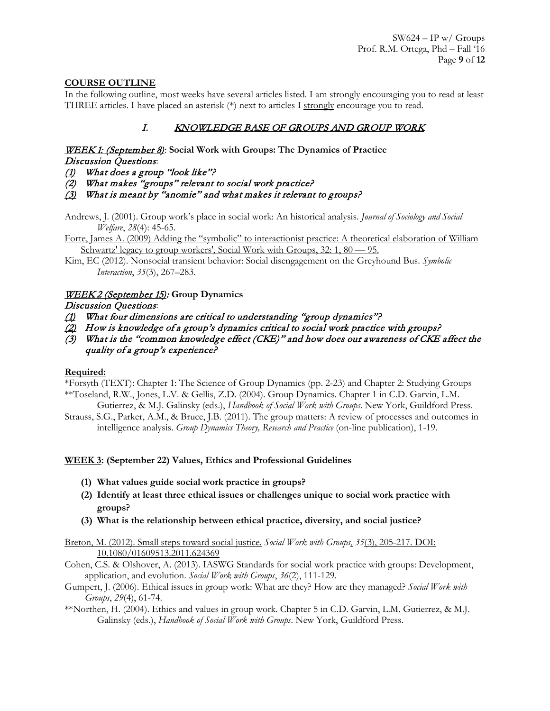## **COURSE OUTLINE**

In the following outline, most weeks have several articles listed. I am strongly encouraging you to read at least THREE articles. I have placed an asterisk (\*) next to articles I strongly encourage you to read.

# I. KNOWLEDGE BASE OF GROUPS AND GROUP WORK

# WEEK 1: (September 8): **Social Work with Groups: The Dynamics of Practice**

# Discussion Questions:

- (1) What does a group "look like"?
- (2) What makes "groups" relevant to social work practice?

(3) What is meant by "anomie" and what makes it relevant to groups?

- Andrews, J. (2001). Group work's place in social work: An historical analysis. *Journal of Sociology and Social Welfare*, *28*(4): 45-65.
- [Forte, James A. \(2009\) Adding the "symbolic" to interactionist practice: A theoretical elaboration of William](https://umich.instructure.com/courses/68968/files/1607920/download?wrap=1)  Schwartz' legacy to group workers', Social Work with Groups, 32: 1, 80 - 95.

Kim, EC (2012). Nonsocial transient behavior: Social disengagement on the Greyhound Bus. *Symbolic Interaction*, *35*(3), 267–283.

## WEEK 2 (September 15): **Group Dynamics**

## Discussion Questions:

- (1) What four dimensions are critical to understanding "group dynamics"?
- $(2)$  How is knowledge of a group's dynamics critical to social work practice with groups?
- (3) What is the "common knowledge effect (CKE)" and how does our awareness of CKE affect the quality of a group's experience?

## **Required:**

\*Forsyth (TEXT): Chapter 1: The Science of Group Dynamics (pp. 2-23) and Chapter 2: Studying Groups \*\*Toseland, R.W., Jones, L.V. & Gellis, Z.D. (2004). Group Dynamics. Chapter 1 in C.D. Garvin, L.M.

Gutierrez, & M.J. Galinsky (eds.), *Handbook of Social Work with Groups*. New York, Guildford Press. Strauss, S.G., Parker, A.M., & Bruce, J.B. (2011). The group matters: A review of processes and outcomes in

intelligence analysis. *Group Dynamics Theory, Research and Practice* (on-line publication), 1-19.

## **WEEK 3: (September 22) Values, Ethics and Professional Guidelines**

- **(1) What values guide social work practice in groups?**
- **(2) Identify at least three ethical issues or challenges unique to social work practice with groups?**
- **(3) What is the relationship between ethical practice, diversity, and social justice?**

[Breton, M. \(2012\). Small steps toward social justice.](https://umich.instructure.com/courses/68968/files/1607929/download?wrap=1) *Social Work with Groups*, *35*(3), 205-217. DOI: [10.1080/01609513.2011.624369](https://umich.instructure.com/courses/68968/files/1607929/download?wrap=1)

- Cohen, C.S. & Olshover, A. (2013). IASWG Standards for social work practice with groups: Development, application, and evolution. *Social Work with Groups*, *36*(2), 111-129.
- Gumpert, J. (2006). Ethical issues in group work: What are they? How are they managed? *Social Work with Groups*, *29*(4), 61-74.
- \*\*Northen, H. (2004). Ethics and values in group work. Chapter 5 in C.D. Garvin, L.M. Gutierrez, & M.J. Galinsky (eds.), *Handbook of Social Work with Groups*. New York, Guildford Press.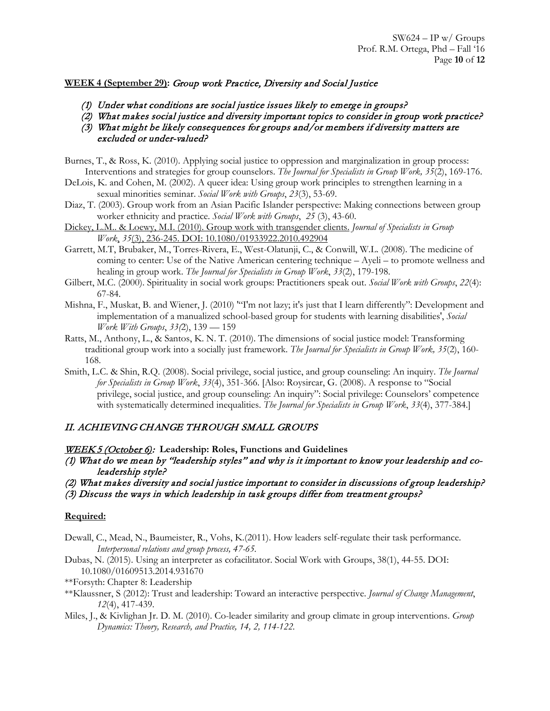## **WEEK 4 (September 29):** Group work Practice, Diversity and Social Justice

- (1) Under what conditions are social justice issues likely to emerge in groups?
- (2) What makes social justice and diversity important topics to consider in group work practice?
- (3) What might be likely consequences for groups and/or members if diversity matters are excluded or under-valued?
- Burnes, T., & Ross, K. (2010). Applying social justice to oppression and marginalization in group process: Interventions and strategies for group counselors. *The Journal for Specialists in Group Work, 35*(2), 169-176.
- DeLois, K. and Cohen, M. (2002). A queer idea: Using group work principles to strengthen learning in a sexual minorities seminar. *Social Work with Groups*, *23*(3), 53-69.
- Diaz, T. (2003). Group work from an Asian Pacific Islander perspective: Making connections between group worker ethnicity and practice. *Social Work with Groups*, *25* (3), 43-60.
- [Dickey, L.M.. & Loewy, M.I. \(2010\). Group work with transgender clients.](https://umich.instructure.com/courses/68968/files/1607931/download?wrap=1) *Journal of Specialists in Group Work*, *35*[\(3\), 236-245. DOI: 10.1080/01933922.2010.492904](https://umich.instructure.com/courses/68968/files/1607931/download?wrap=1)
- Garrett, M.T, Brubaker, M., Torres-Rivera, E., West-Olatunji, C., & Conwill, W.L. (2008). The medicine of coming to center: Use of the Native American centering technique – Ayeli – to promote wellness and healing in group work. *The Journal for Specialists in Group Work*, *33*(2), 179-198.
- Gilbert, M.C. (2000). Spirituality in social work groups: Practitioners speak out. *Social Work with Groups*, *22*(4): 67-84.
- Mishna, F., Muskat, B. and Wiener, J. (2010) '"I'm not lazy; it's just that I learn differently": Development and implementation of a manualized school-based group for students with learning disabilities', *Social Work With Groups*, *33(*2), 139 — 159
- Ratts, M., Anthony, L., & Santos, K. N. T. (2010). The dimensions of social justice model: Transforming traditional group work into a socially just framework. *The Journal for Specialists in Group Work, 35*(2), 160- 168.
- Smith, L.C. & Shin, R.Q. (2008). Social privilege, social justice, and group counseling: An inquiry. *The Journal for Specialists in Group Work*, *33*(4), 351-366. [Also: Roysircar, G. (2008). A response to "Social privilege, social justice, and group counseling: An inquiry": Social privilege: Counselors' competence with systematically determined inequalities. *The Journal for Specialists in Group Work*, *33*(4), 377-384.]

# II. ACHIEVING CHANGE THROUGH SMALL GROUPS

#### WEEK 5 (October 6): **Leadership: Roles, Functions and Guidelines**

- (1) What do we mean by "leadership styles" and why is it important to know your leadership and coleadership style?
- (2) What makes diversity and social justice important to consider in discussions of group leadership?
- (3) Discuss the ways in which leadership in task groups differ from treatment groups?

## **Required:**

- Dewall, C., Mead, N., Baumeister, R., Vohs, K.(2011). How leaders self-regulate their task performance. *Interpersonal relations and group process, 47-65.*
- Dubas, N. (2015). Using an interpreter as cofacilitator. Social Work with Groups, 38(1), 44-55. DOI: 10.1080/01609513.2014.931670
- \*\*Forsyth: Chapter 8: Leadership
- \*\*Klaussner, S (2012): Trust and leadership: Toward an interactive perspective. *Journal of Change Management*, *12*(4), 417-439.
- Miles, J., & Kivlighan Jr. D. M. (2010). Co-leader similarity and group climate in group interventions. *Group Dynamics: Theory, Research, and Practice, 14, 2, 114-122.*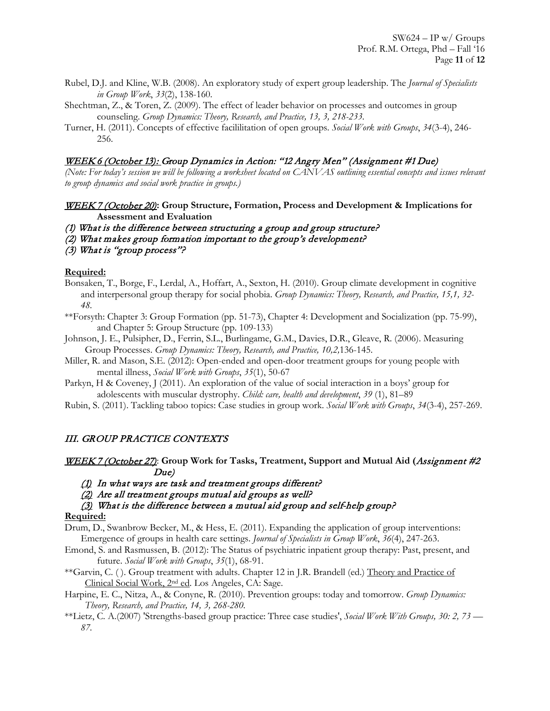- Rubel, D.J. and Kline, W.B. (2008). An exploratory study of expert group leadership. The *Journal of Specialists in Group Work*, *33*(2), 138-160.
- Shechtman, Z., & Toren, Z. (2009). The effect of leader behavior on processes and outcomes in group counseling. *Group Dynamics: Theory, Research, and Practice, 13, 3, 218-233.*
- Turner, H. (2011). Concepts of effective facililitation of open groups. *Social Work with Groups*, *34*(3-4), 246- 256.

## WEEK 6 (October 13): Group Dynamics in Action: "12 Angry Men" (Assignment #1 Due)

*(Note: For today's session we will be following a worksheet located on CANVAS outlining essential concepts and issues relevant to group dynamics and social work practice in groups.)*

- WEEK 7 (October 20)**: Group Structure, Formation, Process and Development & Implications for Assessment and Evaluation**
- (1) What is the difference between structuring a group and group structure?
- (2) What makes group formation important to the group's development?
- (3) What is "group process"?

## **Required:**

- Bonsaken, T., Borge, F., Lerdal, A., Hoffart, A., Sexton, H. (2010). Group climate development in cognitive and interpersonal group therapy for social phobia. *Group Dynamics: Theory, Research, and Practice, 15,1, 32- 48.*
- \*\*Forsyth: Chapter 3: Group Formation (pp. 51-73), Chapter 4: Development and Socialization (pp. 75-99), and Chapter 5: Group Structure (pp. 109-133)
- Johnson, J. E., Pulsipher, D., Ferrin, S.L., Burlingame, G.M., Davies, D.R., Gleave, R. (2006). Measuring Group Processes. *Group Dynamics: Theory, Research, and Practice, 10,2,*136-145.
- Miller, R. and Mason, S.E. (2012): Open-ended and open-door treatment groups for young people with mental illness, *Social Work with Groups*, *35*(1), 50-67
- Parkyn, H & Coveney, J (2011). An exploration of the value of social interaction in a boys' group for adolescents with muscular dystrophy. *Child: care, health and development*, *39* (1), 81–89
- Rubin, S. (2011). Tackling taboo topics: Case studies in group work. *Social Work with Groups*, *34*(3-4), 257-269.

# III. GROUP PRACTICE CONTEXTS

- WEEK 7 (October 27): **Group Work for Tasks, Treatment, Support and Mutual Aid (**Assignment #2 Due)
	- (1) In what ways are task and treatment groups different?
	- (2) Are all treatment groups mutual aid groups as well?
	- $(3)$  What is the difference between a mutual aid group and self-help group?

## **Required:**

Drum, D., Swanbrow Becker, M., & Hess, E. (2011). Expanding the application of group interventions: Emergence of groups in health care settings. *Journal of Specialists in Group Work*, *36*(4), 247-263.

- Emond, S. and Rasmussen, B. (2012): The Status of psychiatric inpatient group therapy: Past, present, and future. *Social Work with Groups*, *35*(1), 68-91.
- \*\*Garvin, C. ( ). Group treatment with adults. Chapter 12 in J.R. Brandell (ed.) Theory and Practice of Clinical Social Work, 2nd ed. Los Angeles, CA: Sage.
- Harpine, E. C., Nitza, A., & Conyne, R. (2010). Prevention groups: today and tomorrow. *Group Dynamics: Theory, Research, and Practice, 14, 3, 268-280.*
- \*\*Lietz, C. A.(2007) 'Strengths-based group practice: Three case studies', *Social Work With Groups, 30: 2, 73 — 87.*